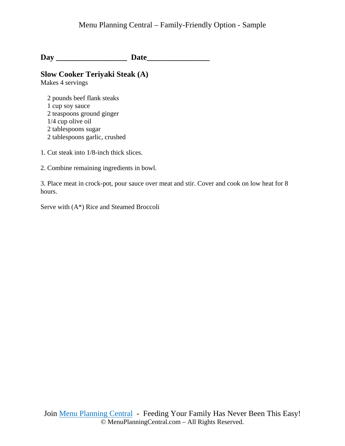**Day \_\_\_\_\_\_\_\_\_\_\_\_\_\_\_\_\_\_ Date\_\_\_\_\_\_\_\_\_\_\_\_\_\_\_\_** 

# **Slow Cooker Teriyaki Steak (A)**

Makes 4 servings

 2 pounds beef flank steaks 1 cup soy sauce 2 teaspoons ground ginger 1/4 cup olive oil 2 tablespoons sugar 2 tablespoons garlic, crushed

- 1. Cut steak into 1/8-inch thick slices.
- 2. Combine remaining ingredients in bowl.

3. Place meat in crock-pot, pour sauce over meat and stir. Cover and cook on low heat for 8 hours.

Serve with (A\*) Rice and Steamed Broccoli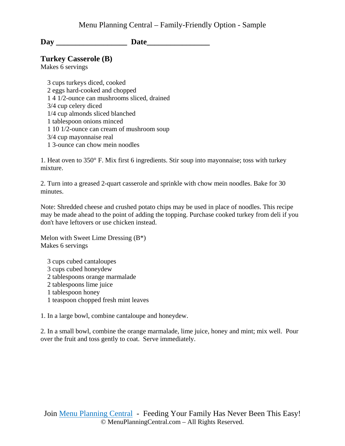### **Turkey Casserole (B)**

Makes 6 servings

 3 cups turkeys diced, cooked 2 eggs hard-cooked and chopped 1 4 1/2-ounce can mushrooms sliced, drained 3/4 cup celery diced 1/4 cup almonds sliced blanched 1 tablespoon onions minced 1 10 1/2-ounce can cream of mushroom soup 3/4 cup mayonnaise real 1 3-ounce can chow mein noodles

1. Heat oven to 350° F. Mix first 6 ingredients. Stir soup into mayonnaise; toss with turkey mixture.

2. Turn into a greased 2-quart casserole and sprinkle with chow mein noodles. Bake for 30 minutes.

Note: Shredded cheese and crushed potato chips may be used in place of noodles. This recipe may be made ahead to the point of adding the topping. Purchase cooked turkey from deli if you don't have leftovers or use chicken instead.

Melon with Sweet Lime Dressing  $(B^*)$ Makes 6 servings

 3 cups cubed cantaloupes 3 cups cubed honeydew 2 tablespoons orange marmalade 2 tablespoons lime juice 1 tablespoon honey 1 teaspoon chopped fresh mint leaves

1. In a large bowl, combine cantaloupe and honeydew.

2. In a small bowl, combine the orange marmalade, lime juice, honey and mint; mix well. Pour over the fruit and toss gently to coat. Serve immediately.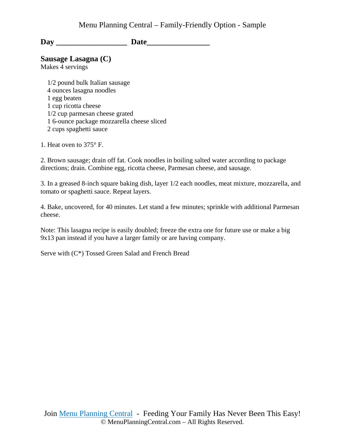**Sausage Lasagna (C)** 

Makes 4 servings

 1/2 pound bulk Italian sausage 4 ounces lasagna noodles 1 egg beaten 1 cup ricotta cheese 1/2 cup parmesan cheese grated 1 6-ounce package mozzarella cheese sliced 2 cups spaghetti sauce

1. Heat oven to 375° F.

2. Brown sausage; drain off fat. Cook noodles in boiling salted water according to package directions; drain. Combine egg, ricotta cheese, Parmesan cheese, and sausage.

3. In a greased 8-inch square baking dish, layer 1/2 each noodles, meat mixture, mozzarella, and tomato or spaghetti sauce. Repeat layers.

4. Bake, uncovered, for 40 minutes. Let stand a few minutes; sprinkle with additional Parmesan cheese.

Note: This lasagna recipe is easily doubled; freeze the extra one for future use or make a big 9x13 pan instead if you have a larger family or are having company.

Serve with (C\*) Tossed Green Salad and French Bread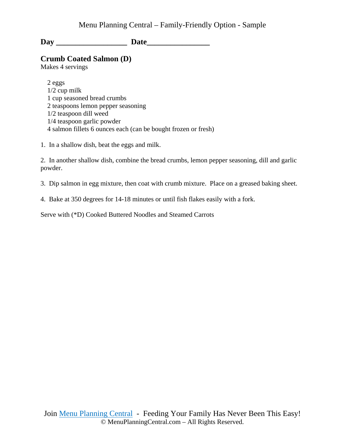### **Crumb Coated Salmon (D)**

Makes 4 servings

 2 eggs 1/2 cup milk 1 cup seasoned bread crumbs 2 teaspoons lemon pepper seasoning 1/2 teaspoon dill weed 1/4 teaspoon garlic powder 4 salmon fillets 6 ounces each (can be bought frozen or fresh)

1. In a shallow dish, beat the eggs and milk.

2. In another shallow dish, combine the bread crumbs, lemon pepper seasoning, dill and garlic powder.

- 3. Dip salmon in egg mixture, then coat with crumb mixture. Place on a greased baking sheet.
- 4. Bake at 350 degrees for 14-18 minutes or until fish flakes easily with a fork.

Serve with (\*D) Cooked Buttered Noodles and Steamed Carrots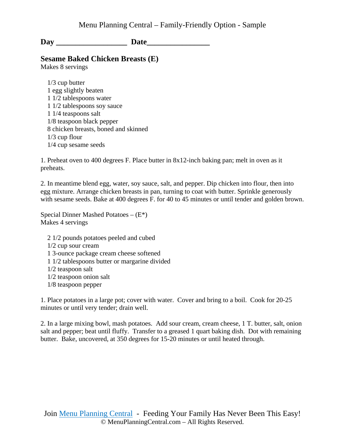### **Sesame Baked Chicken Breasts (E)**

Makes 8 servings

 1/3 cup butter 1 egg slightly beaten 1 1/2 tablespoons water 1 1/2 tablespoons soy sauce 1 1/4 teaspoons salt 1/8 teaspoon black pepper 8 chicken breasts, boned and skinned 1/3 cup flour 1/4 cup sesame seeds

1. Preheat oven to 400 degrees F. Place butter in 8x12-inch baking pan; melt in oven as it preheats.

2. In meantime blend egg, water, soy sauce, salt, and pepper. Dip chicken into flour, then into egg mixture. Arrange chicken breasts in pan, turning to coat with butter. Sprinkle generously with sesame seeds. Bake at 400 degrees F. for 40 to 45 minutes or until tender and golden brown.

Special Dinner Mashed Potatoes  $-(E^*)$ Makes 4 servings

 2 1/2 pounds potatoes peeled and cubed 1/2 cup sour cream 1 3-ounce package cream cheese softened 1 1/2 tablespoons butter or margarine divided 1/2 teaspoon salt 1/2 teaspoon onion salt 1/8 teaspoon pepper

1. Place potatoes in a large pot; cover with water. Cover and bring to a boil. Cook for 20-25 minutes or until very tender; drain well.

2. In a large mixing bowl, mash potatoes. Add sour cream, cream cheese, 1 T. butter, salt, onion salt and pepper; beat until fluffy. Transfer to a greased 1 quart baking dish. Dot with remaining butter. Bake, uncovered, at 350 degrees for 15-20 minutes or until heated through.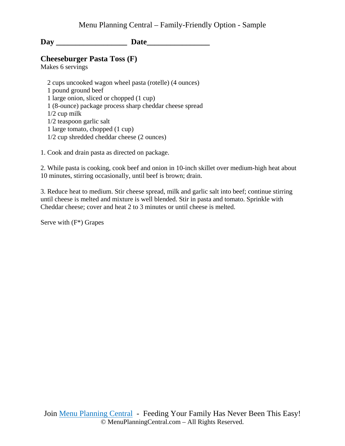### **Cheeseburger Pasta Toss (F)**

Makes 6 servings

 2 cups uncooked wagon wheel pasta (rotelle) (4 ounces) 1 pound ground beef 1 large onion, sliced or chopped (1 cup) 1 (8-ounce) package process sharp cheddar cheese spread 1/2 cup milk 1/2 teaspoon garlic salt 1 large tomato, chopped (1 cup) 1/2 cup shredded cheddar cheese (2 ounces)

1. Cook and drain pasta as directed on package.

2. While pasta is cooking, cook beef and onion in 10-inch skillet over medium-high heat about 10 minutes, stirring occasionally, until beef is brown; drain.

3. Reduce heat to medium. Stir cheese spread, milk and garlic salt into beef; continue stirring until cheese is melted and mixture is well blended. Stir in pasta and tomato. Sprinkle with Cheddar cheese; cover and heat 2 to 3 minutes or until cheese is melted.

Serve with (F\*) Grapes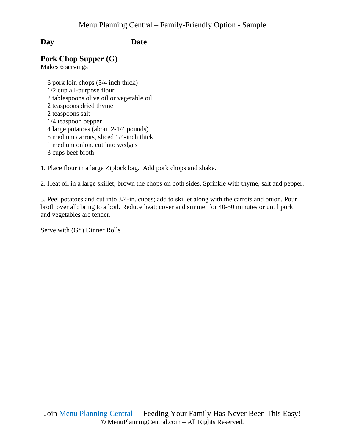# **Pork Chop Supper (G)**

Makes 6 servings

 6 pork loin chops (3/4 inch thick) 1/2 cup all-purpose flour 2 tablespoons olive oil or vegetable oil 2 teaspoons dried thyme 2 teaspoons salt 1/4 teaspoon pepper 4 large potatoes (about 2-1/4 pounds) 5 medium carrots, sliced 1/4-inch thick 1 medium onion, cut into wedges 3 cups beef broth

1. Place flour in a large Ziplock bag. Add pork chops and shake.

2. Heat oil in a large skillet; brown the chops on both sides. Sprinkle with thyme, salt and pepper.

3. Peel potatoes and cut into 3/4-in. cubes; add to skillet along with the carrots and onion. Pour broth over all; bring to a boil. Reduce heat; cover and simmer for 40-50 minutes or until pork and vegetables are tender.

Serve with (G\*) Dinner Rolls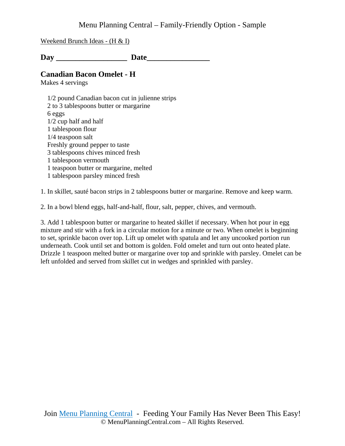### Menu Planning Central – Family-Friendly Option - Sample

Weekend Brunch Ideas - (H & I)

Day Date

#### **Canadian Bacon Omelet - H**

Makes 4 servings

 1/2 pound Canadian bacon cut in julienne strips 2 to 3 tablespoons butter or margarine 6 eggs 1/2 cup half and half 1 tablespoon flour 1/4 teaspoon salt Freshly ground pepper to taste 3 tablespoons chives minced fresh 1 tablespoon vermouth 1 teaspoon butter or margarine, melted 1 tablespoon parsley minced fresh

1. In skillet, sauté bacon strips in 2 tablespoons butter or margarine. Remove and keep warm.

2. In a bowl blend eggs, half-and-half, flour, salt, pepper, chives, and vermouth.

3. Add 1 tablespoon butter or margarine to heated skillet if necessary. When hot pour in egg mixture and stir with a fork in a circular motion for a minute or two. When omelet is beginning to set, sprinkle bacon over top. Lift up omelet with spatula and let any uncooked portion run underneath. Cook until set and bottom is golden. Fold omelet and turn out onto heated plate. Drizzle 1 teaspoon melted butter or margarine over top and sprinkle with parsley. Omelet can be left unfolded and served from skillet cut in wedges and sprinkled with parsley.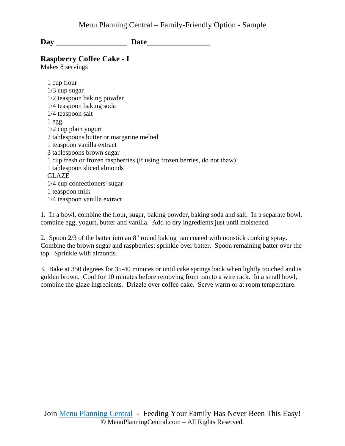**Raspberry Coffee Cake - I**

Makes 8 servings

 1 cup flour 1/3 cup sugar 1/2 teaspoon baking powder 1/4 teaspoon baking soda 1/4 teaspoon salt 1 egg 1/2 cup plain yogurt 2 tablespoons butter or margarine melted 1 teaspoon vanilla extract 3 tablespoons brown sugar 1 cup fresh or frozen raspberries (if using frozen berries, do not thaw) 1 tablespoon sliced almonds GLAZE 1/4 cup confectioners' sugar 1 teaspoon milk 1/4 teaspoon vanilla extract

1. In a bowl, combine the flour, sugar, baking powder, baking soda and salt. In a separate bowl, combine egg, yogurt, butter and vanilla. Add to dry ingredients just until moistened.

2. Spoon 2/3 of the batter into an 8" round baking pan coated with nonstick cooking spray. Combine the brown sugar and raspberries; sprinkle over batter. Spoon remaining batter over the top. Sprinkle with almonds.

3. Bake at 350 degrees for 35-40 minutes or until cake springs back when lightly touched and is golden brown. Cool for 10 minutes before removing from pan to a wire rack. In a small bowl, combine the glaze ingredients. Drizzle over coffee cake. Serve warm or at room temperature.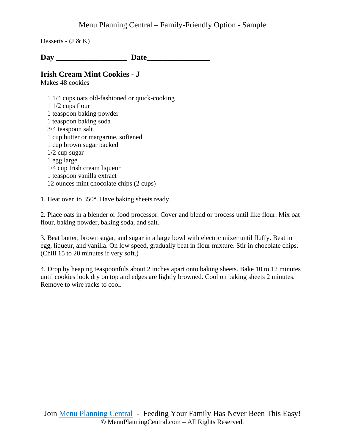Desserts -  $(J & K)$ 

Day Date

### **Irish Cream Mint Cookies - J**

Makes 48 cookies

 1 1/4 cups oats old-fashioned or quick-cooking 1 1/2 cups flour 1 teaspoon baking powder 1 teaspoon baking soda 3/4 teaspoon salt 1 cup butter or margarine, softened 1 cup brown sugar packed 1/2 cup sugar 1 egg large 1/4 cup Irish cream liqueur 1 teaspoon vanilla extract 12 ounces mint chocolate chips (2 cups)

1. Heat oven to 350°. Have baking sheets ready.

2. Place oats in a blender or food processor. Cover and blend or process until like flour. Mix oat flour, baking powder, baking soda, and salt.

3. Beat butter, brown sugar, and sugar in a large bowl with electric mixer until fluffy. Beat in egg, liqueur, and vanilla. On low speed, gradually beat in flour mixture. Stir in chocolate chips. (Chill 15 to 20 minutes if very soft.)

4. Drop by heaping teaspoonfuls about 2 inches apart onto baking sheets. Bake 10 to 12 minutes until cookies look dry on top and edges are lightly browned. Cool on baking sheets 2 minutes. Remove to wire racks to cool.